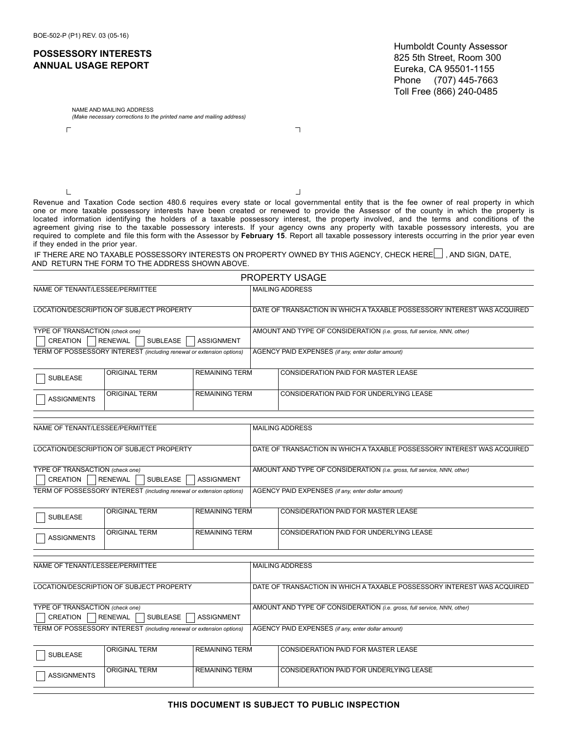## **POSSESSORY INTERESTS ANNUAL USAGE REPORT**

Humboldt County Assessor 825 5th Street, Room 300 Eureka, CA 95501-1155 Phone (707) 445-7663 Toll Free (866) 240-0485

NAME AND MAILING ADDRESS *(Make necessary corrections to the printed name and mailing address)*

 $\Gamma$ 

 $\mathsf{L}% _{\mathcal{A}}$ 

 $\overline{\phantom{a}}$ 

 $\perp$ 

Revenue and Taxation Code section 480.6 requires every state or local governmental entity that is the fee owner of real property in which one or more taxable possessory interests have been created or renewed to provide the Assessor of the county in which the property is located information identifying the holders of a taxable possessory interest, the property involved, and the terms and conditions of the agreement giving rise to the taxable possessory interests. If your agency owns any property with taxable possessory interests, you are required to complete and file this form with the Assessor by **February 15**. Report all taxable possessory interests occurring in the prior year even if they ended in the prior year.

IF THERE ARE NO TAXABLE POSSESSORY INTERESTS ON PROPERTY OWNED BY THIS AGENCY, CHECK HERE , AND SIGN, DATE, AND RETURN THE FORM TO THE ADDRESS SHOWN ABOVE.

|                                                                                                              |                      |                       |                                                                         | <b>PROPERTY USAGE</b>                                                   |  |  |
|--------------------------------------------------------------------------------------------------------------|----------------------|-----------------------|-------------------------------------------------------------------------|-------------------------------------------------------------------------|--|--|
| NAME OF TENANT/LESSEE/PERMITTEE                                                                              |                      |                       |                                                                         | <b>MAILING ADDRESS</b>                                                  |  |  |
| LOCATION/DESCRIPTION OF SUBJECT PROPERTY                                                                     |                      |                       |                                                                         | DATE OF TRANSACTION IN WHICH A TAXABLE POSSESSORY INTEREST WAS ACQUIRED |  |  |
| TYPE OF TRANSACTION (check one)<br><b>SUBLEASE</b><br><b>CREATION</b><br><b>RENEWAL</b><br><b>ASSIGNMENT</b> |                      |                       | AMOUNT AND TYPE OF CONSIDERATION (i.e. gross, full service, NNN, other) |                                                                         |  |  |
| TERM OF POSSESSORY INTEREST (including renewal or extension options)                                         |                      |                       | AGENCY PAID EXPENSES (if any, enter dollar amount)                      |                                                                         |  |  |
| <b>SUBLEASE</b>                                                                                              | <b>ORIGINAL TERM</b> | <b>REMAINING TERM</b> |                                                                         | <b>CONSIDERATION PAID FOR MASTER LEASE</b>                              |  |  |
| <b>ASSIGNMENTS</b>                                                                                           | <b>ORIGINAL TERM</b> | <b>REMAINING TERM</b> |                                                                         | <b>CONSIDERATION PAID FOR UNDERLYING LEASE</b>                          |  |  |
|                                                                                                              |                      |                       |                                                                         |                                                                         |  |  |
| NAME OF TENANT/LESSEE/PERMITTEE                                                                              |                      |                       |                                                                         | <b>MAILING ADDRESS</b>                                                  |  |  |
| LOCATION/DESCRIPTION OF SUBJECT PROPERTY                                                                     |                      |                       |                                                                         | DATE OF TRANSACTION IN WHICH A TAXABLE POSSESSORY INTEREST WAS ACQUIRED |  |  |
| TYPE OF TRANSACTION (check one)<br><b>CREATION</b><br><b>RENEWAL</b><br>SUBLEASE<br><b>ASSIGNMENT</b>        |                      |                       |                                                                         | AMOUNT AND TYPE OF CONSIDERATION (i.e. gross, full service, NNN, other) |  |  |
| TERM OF POSSESSORY INTEREST (including renewal or extension options)                                         |                      |                       | AGENCY PAID EXPENSES (if any, enter dollar amount)                      |                                                                         |  |  |
| <b>SUBLEASE</b>                                                                                              | <b>ORIGINAL TERM</b> | <b>REMAINING TERM</b> |                                                                         | <b>CONSIDERATION PAID FOR MASTER LEASE</b>                              |  |  |
| <b>ASSIGNMENTS</b>                                                                                           | <b>ORIGINAL TERM</b> | <b>REMAINING TERM</b> |                                                                         | <b>CONSIDERATION PAID FOR UNDERLYING LEASE</b>                          |  |  |
|                                                                                                              |                      |                       |                                                                         |                                                                         |  |  |
| NAME OF TENANT/LESSEE/PERMITTEE                                                                              |                      |                       |                                                                         | <b>MAILING ADDRESS</b>                                                  |  |  |
| LOCATION/DESCRIPTION OF SUBJECT PROPERTY                                                                     |                      |                       |                                                                         | DATE OF TRANSACTION IN WHICH A TAXABLE POSSESSORY INTEREST WAS ACQUIRED |  |  |
| TYPE OF TRANSACTION (check one)<br><b>CREATION</b><br><b>RENEWAL</b><br><b>SUBLEASE</b><br><b>ASSIGNMENT</b> |                      |                       |                                                                         | AMOUNT AND TYPE OF CONSIDERATION (i.e. gross, full service, NNN, other) |  |  |
| TERM OF POSSESSORY INTEREST (including renewal or extension options)                                         |                      |                       |                                                                         | AGENCY PAID EXPENSES (if any, enter dollar amount)                      |  |  |
| <b>SUBLEASE</b>                                                                                              | <b>ORIGINAL TERM</b> | <b>REMAINING TERM</b> |                                                                         | CONSIDERATION PAID FOR MASTER LEASE                                     |  |  |
| <b>ASSIGNMENTS</b>                                                                                           | <b>ORIGINAL TERM</b> | <b>REMAINING TERM</b> |                                                                         | CONSIDERATION PAID FOR UNDERLYING LEASE                                 |  |  |
|                                                                                                              |                      |                       |                                                                         |                                                                         |  |  |

**THIS DOCUMENT IS SUBJECT TO PUBLIC INSPECTION**